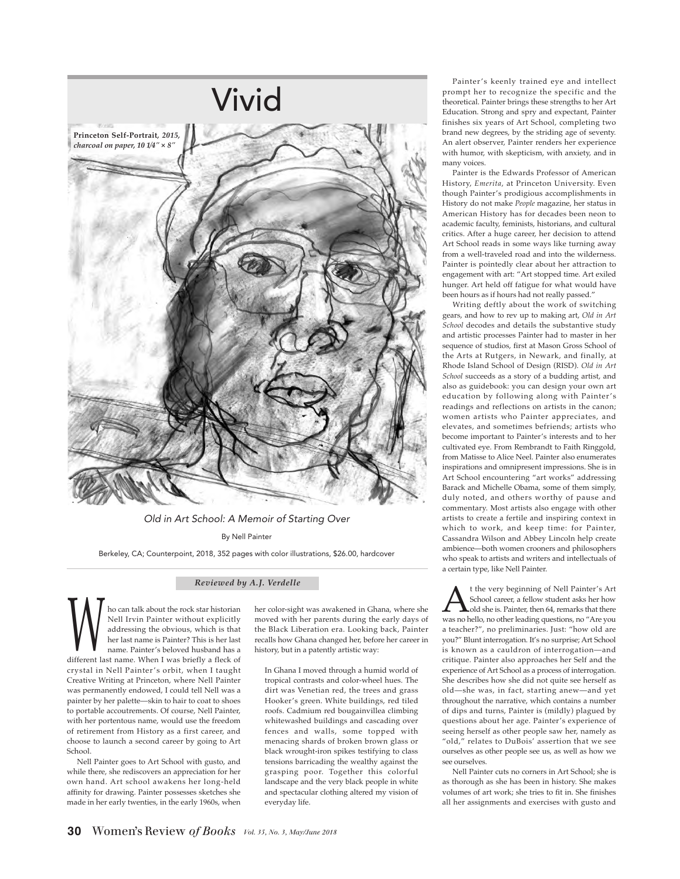

## Old in Art School: A Memoir of Starting Over By Nell Painter

Berkeley, CA; Counterpoint, 2018, 352 pages with color illustrations, \$26.00, hardcover

## *Reviewed by A.J. Verdelle*

ho can talk about the rock star historian Nell Irvin Painter without explicitly addressing the obvious, which is that her last name is Painter? This is her last name. Painter's beloved husband has a addressing the obvious, which is that<br>her last name is Painter? This is her last<br>name. Painter's beloved husband has a<br>different last name. When I was briefly a fleck of crystal in Nell Painter's orbit, when I taught Creative Writing at Princeton, where Nell Painter was permanently endowed, I could tell Nell was a painter by her palette—skin to hair to coat to shoes to portable accoutrements. Of course, Nell Painter, with her portentous name, would use the freedom of retirement from History as a first career, and choose to launch a second career by going to Art School.

Nell Painter goes to Art School with gusto, and while there, she rediscovers an appreciation for her own hand. Art school awakens her long-held affinity for drawing. Painter possesses sketches she made in her early twenties, in the early 1960s, when her color-sight was awakened in Ghana, where she moved with her parents during the early days of the Black Liberation era. Looking back, Painter recalls how Ghana changed her, before her career in history, but in a patently artistic way:

In Ghana I moved through a humid world of tropical contrasts and color-wheel hues. The dirt was Venetian red, the trees and grass Hooker's green. White buildings, red tiled roofs. Cadmium red bougainvillea climbing whitewashed buildings and cascading over fences and walls, some topped with menacing shards of broken brown glass or black wrought-iron spikes testifying to class tensions barricading the wealthy against the grasping poor. Together this colorful landscape and the very black people in white and spectacular clothing altered my vision of everyday life.

Painter's keenly trained eye and intellect prompt her to recognize the specific and the theoretical. Painter brings these strengths to her Art Education. Strong and spry and expectant, Painter finishes six years of Art School, completing two brand new degrees, by the striding age of seventy. An alert observer, Painter renders her experience with humor, with skepticism, with anxiety, and in many voices.

Painter is the Edwards Professor of American History, *Emerita*, at Princeton University. Even though Painter's prodigious accomplishments in History do not make *People* magazine, her status in American History has for decades been neon to academic faculty, feminists, historians, and cultural critics. After a huge career, her decision to attend Art School reads in some ways like turning away from a well-traveled road and into the wilderness. Painter is pointedly clear about her attraction to engagement with art: "Art stopped time. Art exiled hunger. Art held off fatigue for what would have been hours as if hours had not really passed."

Writing deftly about the work of switching gears, and how to rev up to making art, *Old in Art School* decodes and details the substantive study and artistic processes Painter had to master in her sequence of studios, first at Mason Gross School of the Arts at Rutgers, in Newark, and finally, at Rhode Island School of Design (RISD). *Old in Art School* succeeds as a story of a budding artist, and also as guidebook: you can design your own art education by following along with Painter's readings and reflections on artists in the canon; women artists who Painter appreciates, and elevates, and sometimes befriends; artists who become important to Painter's interests and to her cultivated eye. From Rembrandt to Faith Ringgold, from Matisse to Alice Neel. Painter also enumerates inspirations and omnipresent impressions. She is in Art School encountering "art works" addressing Barack and Michelle Obama, some of them simply, duly noted, and others worthy of pause and commentary. Most artists also engage with other artists to create a fertile and inspiring context in which to work, and keep time: for Painter, Cassandra Wilson and Abbey Lincoln help create ambience—both women crooners and philosophers who speak to artists and writers and intellectuals of a certain type, like Nell Painter.

t the very beginning of Nell Painter's Art<br>School career, a fellow student asks her how<br>was no hello, no other leading questions, no "Are you School career, a fellow student asks her how old she is. Painter, then 64, remarks that there a teacher?", no preliminaries. Just: "how old are you?" Blunt interrogation. It's no surprise; Art School is known as a cauldron of interrogation—and critique. Painter also approaches her Self and the experience of Art School as a process of interrogation. She describes how she did not quite see herself as old—she was, in fact, starting anew—and yet throughout the narrative, which contains a number of dips and turns, Painter is (mildly) plagued by questions about her age. Painter's experience of seeing herself as other people saw her, namely as "old," relates to DuBois' assertion that we see ourselves as other people see us, as well as how we see ourselves.

Nell Painter cuts no corners in Art School; she is as thorough as she has been in history. She makes volumes of art work; she tries to fit in. She finishes all her assignments and exercises with gusto and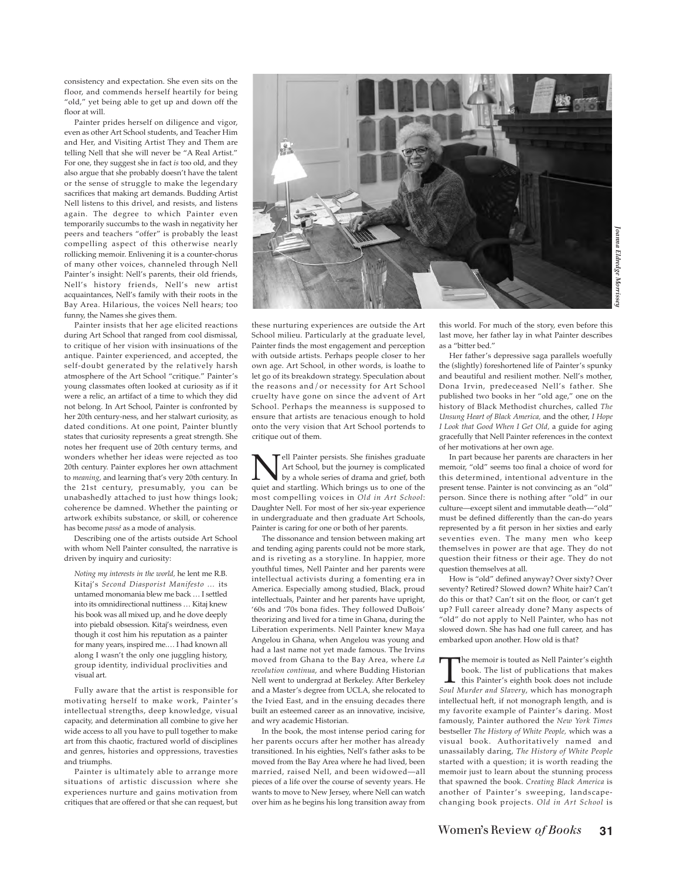*Joanna Eldredge Morrissey*

consistency and expectation. She even sits on the floor, and commends herself heartily for being "old," yet being able to get up and down off the floor at will.

Painter prides herself on diligence and vigor, even as other Art School students, and Teacher Him and Her, and Visiting Artist They and Them are telling Nell that she will never be "A Real Artist." For one, they suggest she in fact *is* too old, and they also argue that she probably doesn't have the talent or the sense of struggle to make the legendary sacrifices that making art demands. Budding Artist Nell listens to this drivel, and resists, and listens again. The degree to which Painter even temporarily succumbs to the wash in negativity her peers and teachers "offer" is probably the least compelling aspect of this otherwise nearly rollicking memoir. Enlivening it is a counter-chorus of many other voices, channeled through Nell Painter's insight: Nell's parents, their old friends, Nell's history friends, Nell's new artist acquaintances, Nell's family with their roots in the Bay Area. Hilarious, the voices Nell hears; too funny, the Names she gives them.

Painter insists that her age elicited reactions during Art School that ranged from cool dismissal, to critique of her vision with insinuations of the antique. Painter experienced, and accepted, the self-doubt generated by the relatively harsh atmosphere of the Art School "critique." Painter's young classmates often looked at curiosity as if it were a relic, an artifact of a time to which they did not belong. In Art School, Painter is confronted by her 20th century-ness, and her stalwart curiosity, as dated conditions. At one point, Painter bluntly states that curiosity represents a great strength. She notes her frequent use of 20th century terms, and wonders whether her ideas were rejected as too 20th century. Painter explores her own attachment to *meaning*, and learning that's very 20th century. In the 21st century, presumably, you can be unabashedly attached to just how things look; coherence be damned. Whether the painting or artwork exhibits substance, or skill, or coherence has become *passé* as a mode of analysis.

Describing one of the artists outside Art School with whom Nell Painter consulted, the narrative is driven by inquiry and curiosity:

*Noting my interests in the world,* he lent me R.B. Kitaj's *Second Diasporist Manifesto …* its untamed monomania blew me back … I settled into its omnidirectional nuttiness … Kitaj knew his book was all mixed up, and he dove deeply into piebald obsession. Kitaj's weirdness, even though it cost him his reputation as a painter for many years, inspired me.… I had known all along I wasn't the only one juggling history, group identity, individual proclivities and visual art.

Fully aware that the artist is responsible for motivating herself to make work, Painter's intellectual strengths, deep knowledge, visual capacity, and determination all combine to give her wide access to all you have to pull together to make art from this chaotic, fractured world of disciplines and genres, histories and oppressions, travesties and triumphs.

Painter is ultimately able to arrange more situations of artistic discussion where she experiences nurture and gains motivation from critiques that are offered or that she can request, but

these nurturing experiences are outside the Art School milieu. Particularly at the graduate level, Painter finds the most engagement and perception with outside artists. Perhaps people closer to her own age. Art School, in other words, is loathe to let go of its breakdown strategy. Speculation about the reasons and/or necessity for Art School cruelty have gone on since the advent of Art School. Perhaps the meanness is supposed to ensure that artists are tenacious enough to hold onto the very vision that Art School portends to critique out of them.

**Nell Painter persists.** She finishes graduate<br>by a whole series of drama and grief, both<br>quiet and startling. Which brings us to one of the Art School, but the journey is complicated quiet and startling. Which brings us to one of the most compelling voices in *Old in Art School*: Daughter Nell. For most of her six-year experience in undergraduate and then graduate Art Schools, Painter is caring for one or both of her parents.

The dissonance and tension between making art and tending aging parents could not be more stark, and is riveting as a storyline. In happier, more youthful times, Nell Painter and her parents were intellectual activists during a fomenting era in America. Especially among studied, Black, proud intellectuals, Painter and her parents have upright, '60s and '70s bona fides. They followed DuBois' theorizing and lived for a time in Ghana, during the Liberation experiments. Nell Painter knew Maya Angelou in Ghana, when Angelou was young and had a last name not yet made famous. The Irvins moved from Ghana to the Bay Area, where *La revolution continua*, and where Budding Historian Nell went to undergrad at Berkeley. After Berkeley and a Master's degree from UCLA, she relocated to the Ivied East, and in the ensuing decades there built an esteemed career as an innovative, incisive, and wry academic Historian.

In the book, the most intense period caring for her parents occurs after her mother has already transitioned. In his eighties, Nell's father asks to be moved from the Bay Area where he had lived, been married, raised Nell, and been widowed—all pieces of a life over the course of seventy years. He wants to move to New Jersey, where Nell can watch over him as he begins his long transition away from

this world. For much of the story, even before this last move, her father lay in what Painter describes as a "bitter bed."

Her father's depressive saga parallels woefully the (slightly) foreshortened life of Painter's spunky and beautiful and resilient mother. Nell's mother, Dona Irvin, predeceased Nell's father. She published two books in her "old age," one on the history of Black Methodist churches, called *The Unsung Heart of Black America,* and the other, *I Hope I Look that Good When I Get Old,* a guide for aging gracefully that Nell Painter references in the context of her motivations at her own age.

In part because her parents are characters in her memoir, "old" seems too final a choice of word for this determined, intentional adventure in the present tense. Painter is not convincing as an "old" person. Since there is nothing after "old" in our culture—except silent and immutable death—"old" must be defined differently than the can-do years represented by a fit person in her sixties and early seventies even. The many men who keep themselves in power are that age. They do not question their fitness or their age. They do not question themselves at all.

How is "old" defined anyway? Over sixty? Over seventy? Retired? Slowed down? White hair? Can't do this or that? Can't sit on the floor, or can't get up? Full career already done? Many aspects of "old" do not apply to Nell Painter, who has not slowed down. She has had one full career, and has embarked upon another. How old is that?

The memoir is touted as Nell Painter's eighth<br>book. The list of publications that makes<br>this Painter's eighth book does not include<br>Soul Murder and Slaperu, which has monograph book. The list of publications that makes this Painter's eighth book does not include *Soul Murder and Slavery*, which has monograph intellectual heft, if not monograph length, and is my favorite example of Painter's daring. Most famously, Painter authored the *New York Times* bestseller *The History of White People,* which was a visual book. Authoritatively named and unassailably daring, *The History of White People* started with a question; it is worth reading the memoir just to learn about the stunning process that spawned the book. *Creating Black America* is another of Painter's sweeping, landscapechanging book projects. *Old in Art School* is